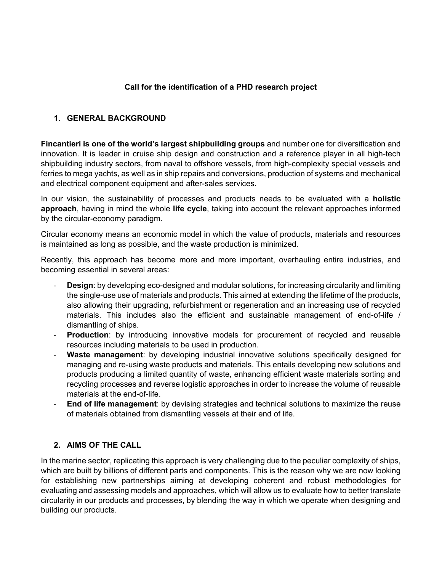#### **Call for the identification of a PHD research project**

#### **1. GENERAL BACKGROUND**

**Fincantieri is one of the world's largest shipbuilding groups** and number one for diversification and innovation. It is leader in cruise ship design and construction and a reference player in all high-tech shipbuilding industry sectors, from naval to offshore vessels, from high-complexity special vessels and ferries to mega yachts, as well as in ship repairs and conversions, production of systems and mechanical and electrical component equipment and after-sales services.

In our vision, the sustainability of processes and products needs to be evaluated with a **holistic approach**, having in mind the whole **life cycle**, taking into account the relevant approaches informed by the circular-economy paradigm.

Circular economy means an economic model in which the value of products, materials and resources is maintained as long as possible, and the waste production is minimized.

Recently, this approach has become more and more important, overhauling entire industries, and becoming essential in several areas:

- **Design:** by developing eco-designed and modular solutions, for increasing circularity and limiting the single-use use of materials and products. This aimed at extending the lifetime of the products, also allowing their upgrading, refurbishment or regeneration and an increasing use of recycled materials. This includes also the efficient and sustainable management of end-of-life / dismantling of ships.
- **Production**: by introducing innovative models for procurement of recycled and reusable resources including materials to be used in production.
- **Waste management**: by developing industrial innovative solutions specifically designed for managing and re-using waste products and materials. This entails developing new solutions and products producing a limited quantity of waste, enhancing efficient waste materials sorting and recycling processes and reverse logistic approaches in order to increase the volume of reusable materials at the end-of-life.
- **End of life management:** by devising strategies and technical solutions to maximize the reuse of materials obtained from dismantling vessels at their end of life.

#### **2. AIMS OF THE CALL**

In the marine sector, replicating this approach is very challenging due to the peculiar complexity of ships, which are built by billions of different parts and components. This is the reason why we are now looking for establishing new partnerships aiming at developing coherent and robust methodologies for evaluating and assessing models and approaches, which will allow us to evaluate how to better translate circularity in our products and processes, by blending the way in which we operate when designing and building our products.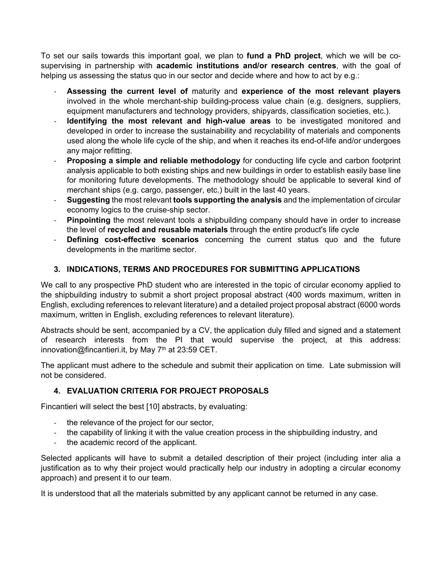To set our sails towards this important goal, we plan to **fund a PhD project**, which we will be cosupervising in partnership with **academic institutions and/or research centres**, with the goal of helping us assessing the status quo in our sector and decide where and how to act by e.g.:

- **Assessing the current level of** maturity and **experience of the most relevant players** involved in the whole merchant-ship building-process value chain (e.g. designers, suppliers, equipment manufacturers and technology providers, shipyards, classification societies, etc.).
- **Identifying the most relevant and high-value areas** to be investigated monitored and developed in order to increase the sustainability and recyclability of materials and components used along the whole life cycle of the ship, and when it reaches its end-of-life and/or undergoes any major refitting.
- **Proposing a simple and reliable methodology** for conducting life cycle and carbon footprint analysis applicable to both existing ships and new buildings in order to establish easily base line for monitoring future developments. The methodology should be applicable to several kind of merchant ships (e.g. cargo, passenger, etc.) built in the last 40 years.
- **Suggesting** the most relevant **tools supporting the analysis** and the implementation of circular economy logics to the cruise-ship sector.
- **Pinpointing** the most relevant tools a shipbuilding company should have in order to increase the level of **recycled and reusable materials** through the entire product's life cycle
- **Defining cost-effective scenarios** concerning the current status quo and the future developments in the maritime sector.

## **3. INDICATIONS, TERMS AND PROCEDURES FOR SUBMITTING APPLICATIONS**

We call to any prospective PhD student who are interested in the topic of circular economy applied to the shipbuilding industry to submit a short project proposal abstract (400 words maximum, written in English, excluding references to relevant literature) and a detailed project proposal abstract (6000 words maximum, written in English, excluding references to relevant literature).

Abstracts should be sent, accompanied by a CV, the application duly filled and signed and a statement of research interests from the PI that would supervise the project, at this address: innovation@fincantieri.it, by May  $7<sup>th</sup>$  at 23:59 CET.

The applicant must adhere to the schedule and submit their application on time. Late submission will not be considered.

## **4. EVALUATION CRITERIA FOR PROJECT PROPOSALS**

Fincantieri will select the best [10] abstracts, by evaluating:

- the relevance of the project for our sector,
- the capability of linking it with the value creation process in the shipbuilding industry, and
- the academic record of the applicant.

Selected applicants will have to submit a detailed description of their project (including inter alia a justification as to why their project would practically help our industry in adopting a circular economy approach) and present it to our team.

It is understood that all the materials submitted by any applicant cannot be returned in any case.